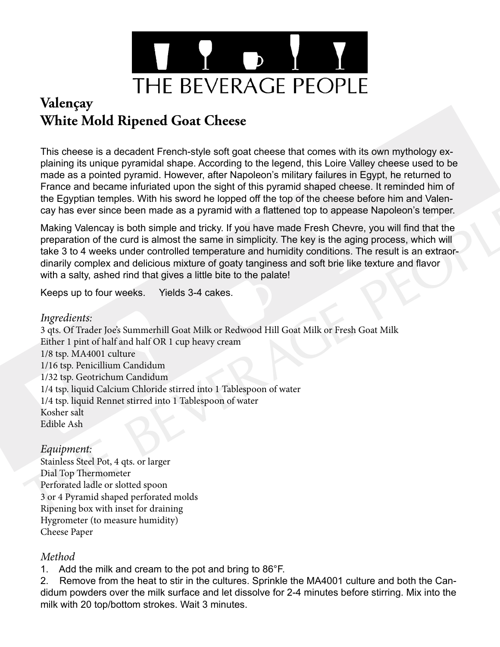

## **Valençay White Mold Ripened Goat Cheese**

This cheese is a decadent French-style soft goat cheese that comes with its own mythology explaining its unique pyramidal shape. According to the legend, this Loire Valley cheese used to be made as a pointed pyramid. However, after Napoleon's military failures in Egypt, he returned to France and became infuriated upon the sight of this pyramid shaped cheese. It reminded him of the Egyptian temples. With his sword he lopped off the top of the cheese before him and Valencay has ever since been made as a pyramid with a flattened top to appease Napoleon's temper.

Making Valencay is both simple and tricky. If you have made Fresh Chevre, you will find that the preparation of the curd is almost the same in simplicity. The key is the aging process, which will take 3 to 4 weeks under controlled temperature and humidity conditions. The result is an extraordinarily complex and delicious mixture of goaty tanginess and soft brie like texture and flavor with a salty, ashed rind that gives a little bite to the palate!

Keeps up to four weeks. Yields 3-4 cakes.

## *Ingredients:*

3 qts. Of Trader Joe's Summerhill Goat Milk or Redwood Hill Goat Milk or Fresh Goat Milk Either 1 pint of half and half OR 1 cup heavy cream 1/8 tsp. MA4001 culture 1/16 tsp. Penicillium Candidum 1/32 tsp. Geotrichum Candidum 1/4 tsp. liquid Calcium Chloride stirred into 1 Tablespoon of water 1/4 tsp. liquid Rennet stirred into 1 Tablespoon of water Kosher salt Edible Ash

## *Equipment:*

Stainless Steel Pot, 4 qts. or larger Dial Top Thermometer Perforated ladle or slotted spoon 3 or 4 Pyramid shaped perforated molds Ripening box with inset for draining Hygrometer (to measure humidity) Cheese Paper

## *Method*

1. Add the milk and cream to the pot and bring to 86°F.

2. Remove from the heat to stir in the cultures. Sprinkle the MA4001 culture and both the Candidum powders over the milk surface and let dissolve for 2-4 minutes before stirring. Mix into the milk with 20 top/bottom strokes. Wait 3 minutes.